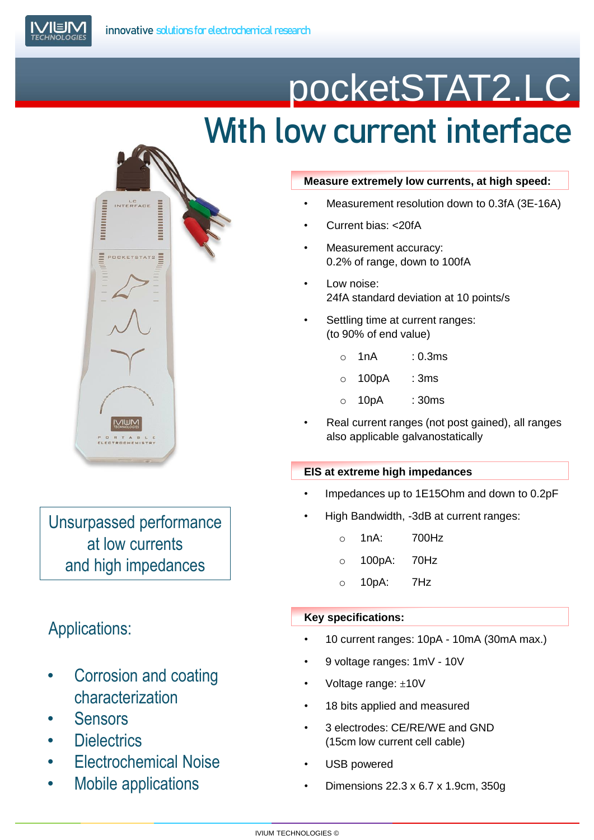

# pocketSTAT2.LC With low current interface

## **Measure extremely low currents, at high speed:**

- Measurement resolution down to 0.3fA (3E-16A)
- Current bias: <20fA
- Measurement accuracy: 0.2% of range, down to 100fA
- Low noise: 24fA standard deviation at 10 points/s
- Settling time at current ranges: (to 90% of end value)
	- $\circ$  1nA : 0.3ms
	- $\circ$  100pA : 3ms
	- $\circ$  10pA : 30ms
- Real current ranges (not post gained), all ranges also applicable galvanostatically

#### **EIS at extreme high impedances**

- Impedances up to 1E15Ohm and down to 0.2pF
- High Bandwidth, -3dB at current ranges:
	- o 1nA: 700Hz
	- o 100pA: 70Hz
	- o 10pA: 7Hz

## **Key specifications:**

- 10 current ranges: 10pA 10mA (30mA max.)
- 9 voltage ranges: 1mV 10V
- Voltage range: ±10V
- 18 bits applied and measured
- 3 electrodes: CE/RE/WE and GND (15cm low current cell cable)
- USB powered
- Dimensions 22.3 x 6.7 x 1.9cm, 350g



Unsurpassed performance at low currents and high impedances

# Applications:

- Corrosion and coating characterization
- **Sensors**
- **Dielectrics**
- Electrochemical Noise
- Mobile applications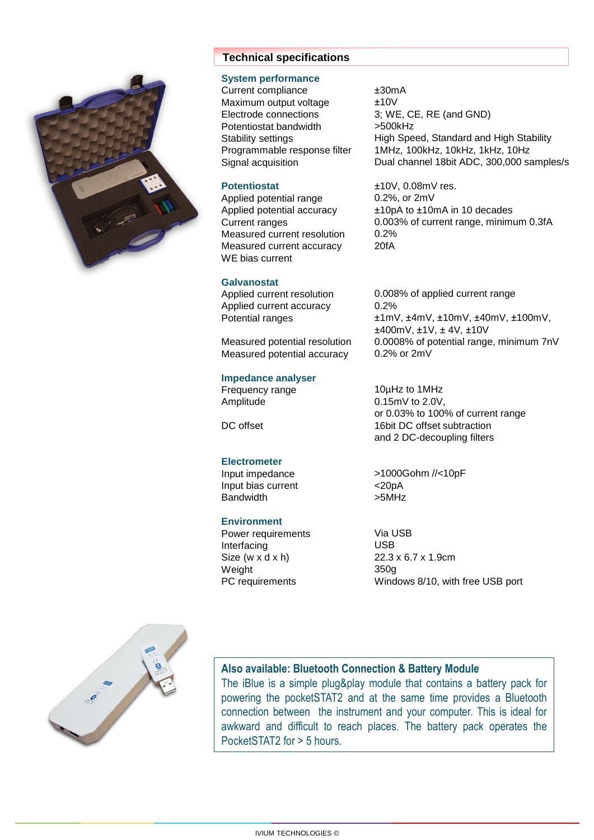

# **Technical specifications**

#### **System performance**

Current compliance Maximum output voltage Electrode connections Potentiostat bandwidth Stability settings Programmable response filter Signal acquisition

#### **Potentiostat**

Applied potential range Applied potential accuracy Current ranges Measured current resolution Measured current accuracy WE bias current

#### **Galvanostat**

Applied current resolution Applied current accuracy Potential ranges

Measured potential resolution Measured potential accuracy

#### **Impedance analyser**

Frequency range Amplitude

DC offset

#### **Electrometer**

Input impedance Input bias current Bandwidth

#### **Environment**

Power requirements Interfacing Size (w x d x h) Weight PC requirements

±30mA  $+10V$ 3; WE, CE, RE (and GND) >500kHz High Speed, Standard and High Stability 1MHz, 100kHz, 10kHz, 1kHz, 10Hz Dual channel 18bit ADC, 300,000 samples/s

±10V, 0.08mV res. 0.2%, or 2mV ±10pA to ±10mA in 10 decades 0.003% of current range, minimum 0.3fA 0.2% 20fA

0.008% of applied current range 0.2% ±1mV, ±4mV, ±10mV, ±40mV, ±100mV, ±400mV, ±1V, ± 4V, ±10V 0.0008% of potential range, minimum 7nV 0.2% or 2mV

10µHz to 1MHz 0.15mV to 2.0V, or 0.03% to 100% of current range 16bit DC offset subtraction and 2 DC-decoupling filters

>1000Gohm //<10pF  $<$ 20pA >5MHz

Via USB USB 22.3 x 6.7 x 1.9cm 350g Windows 8/10, with free USB port



# **Also available: Bluetooth Connection & Battery Module**

The iBlue is a simple plug&play module that contains a battery pack for powering the pocketSTAT2 and at the same time provides a Bluetooth connection between the instrument and your computer. This is ideal for awkward and difficult to reach places. The battery pack operates the PocketSTAT2 for > 5 hours.